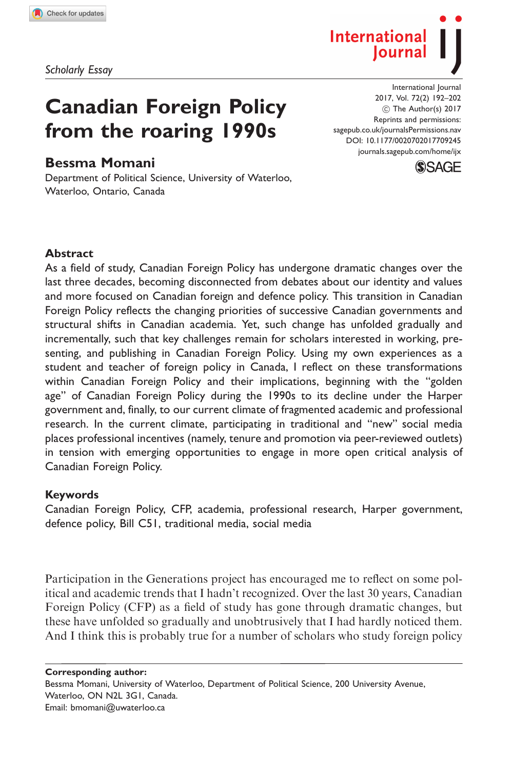Scholarly Essay

# Canadian Foreign Policy from the roaring 1990s

## Bessma Momani

Department of Political Science, University of Waterloo, Waterloo, Ontario, Canada

International Journal 2017, Vol. 72(2) 192–202  $\circledcirc$  The Author(s) 2017 Reprints and permissions: [sagepub.co.uk/journalsPermissions.nav](https://uk.sagepub.com/en-gb/journals-permissions) DOI: [10.1177/0020702017709245](https://doi.org/10.1177/0020702017709245) <journals.sagepub.com/home/ijx>

Iournal

International



#### **Abstract**

As a field of study, Canadian Foreign Policy has undergone dramatic changes over the last three decades, becoming disconnected from debates about our identity and values and more focused on Canadian foreign and defence policy. This transition in Canadian Foreign Policy reflects the changing priorities of successive Canadian governments and structural shifts in Canadian academia. Yet, such change has unfolded gradually and incrementally, such that key challenges remain for scholars interested in working, presenting, and publishing in Canadian Foreign Policy. Using my own experiences as a student and teacher of foreign policy in Canada, I reflect on these transformations within Canadian Foreign Policy and their implications, beginning with the ''golden age'' of Canadian Foreign Policy during the 1990s to its decline under the Harper government and, finally, to our current climate of fragmented academic and professional research. In the current climate, participating in traditional and ''new'' social media places professional incentives (namely, tenure and promotion via peer-reviewed outlets) in tension with emerging opportunities to engage in more open critical analysis of Canadian Foreign Policy.

#### Keywords

Canadian Foreign Policy, CFP, academia, professional research, Harper government, defence policy, Bill C51, traditional media, social media

Participation in the Generations project has encouraged me to reflect on some political and academic trends that I hadn't recognized. Over the last 30 years, Canadian Foreign Policy (CFP) as a field of study has gone through dramatic changes, but these have unfolded so gradually and unobtrusively that I had hardly noticed them. And I think this is probably true for a number of scholars who study foreign policy

Corresponding author: Bessma Momani, University of Waterloo, Department of Political Science, 200 University Avenue, Waterloo, ON N2L 3G1, Canada. Email: bmomani@uwaterloo.ca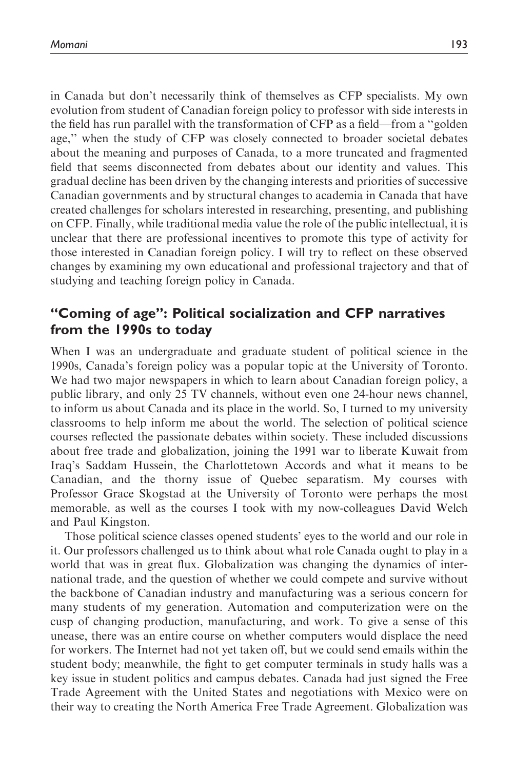in Canada but don't necessarily think of themselves as CFP specialists. My own evolution from student of Canadian foreign policy to professor with side interests in the field has run parallel with the transformation of CFP as a field—from a ''golden age,'' when the study of CFP was closely connected to broader societal debates about the meaning and purposes of Canada, to a more truncated and fragmented field that seems disconnected from debates about our identity and values. This gradual decline has been driven by the changing interests and priorities of successive Canadian governments and by structural changes to academia in Canada that have created challenges for scholars interested in researching, presenting, and publishing on CFP. Finally, while traditional media value the role of the public intellectual, it is unclear that there are professional incentives to promote this type of activity for those interested in Canadian foreign policy. I will try to reflect on these observed changes by examining my own educational and professional trajectory and that of studying and teaching foreign policy in Canada.

# ''Coming of age'': Political socialization and CFP narratives from the 1990s to today

When I was an undergraduate and graduate student of political science in the 1990s, Canada's foreign policy was a popular topic at the University of Toronto. We had two major newspapers in which to learn about Canadian foreign policy, a public library, and only 25 TV channels, without even one 24-hour news channel, to inform us about Canada and its place in the world. So, I turned to my university classrooms to help inform me about the world. The selection of political science courses reflected the passionate debates within society. These included discussions about free trade and globalization, joining the 1991 war to liberate Kuwait from Iraq's Saddam Hussein, the Charlottetown Accords and what it means to be Canadian, and the thorny issue of Quebec separatism. My courses with Professor Grace Skogstad at the University of Toronto were perhaps the most memorable, as well as the courses I took with my now-colleagues David Welch and Paul Kingston.

Those political science classes opened students' eyes to the world and our role in it. Our professors challenged us to think about what role Canada ought to play in a world that was in great flux. Globalization was changing the dynamics of international trade, and the question of whether we could compete and survive without the backbone of Canadian industry and manufacturing was a serious concern for many students of my generation. Automation and computerization were on the cusp of changing production, manufacturing, and work. To give a sense of this unease, there was an entire course on whether computers would displace the need for workers. The Internet had not yet taken off, but we could send emails within the student body; meanwhile, the fight to get computer terminals in study halls was a key issue in student politics and campus debates. Canada had just signed the Free Trade Agreement with the United States and negotiations with Mexico were on their way to creating the North America Free Trade Agreement. Globalization was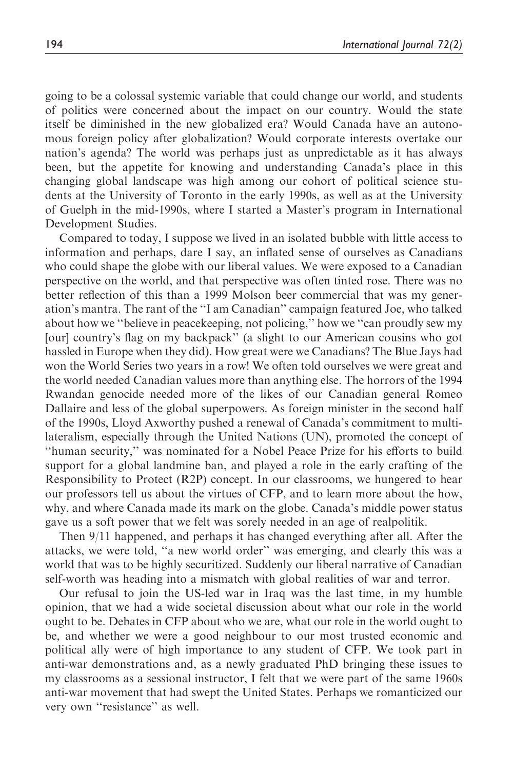going to be a colossal systemic variable that could change our world, and students of politics were concerned about the impact on our country. Would the state itself be diminished in the new globalized era? Would Canada have an autonomous foreign policy after globalization? Would corporate interests overtake our nation's agenda? The world was perhaps just as unpredictable as it has always been, but the appetite for knowing and understanding Canada's place in this changing global landscape was high among our cohort of political science students at the University of Toronto in the early 1990s, as well as at the University of Guelph in the mid-1990s, where I started a Master's program in International Development Studies.

Compared to today, I suppose we lived in an isolated bubble with little access to information and perhaps, dare I say, an inflated sense of ourselves as Canadians who could shape the globe with our liberal values. We were exposed to a Canadian perspective on the world, and that perspective was often tinted rose. There was no better reflection of this than a 1999 Molson beer commercial that was my generation's mantra. The rant of the ''I am Canadian'' campaign featured Joe, who talked about how we ''believe in peacekeeping, not policing,'' how we ''can proudly sew my [our] country's flag on my backpack'' (a slight to our American cousins who got hassled in Europe when they did). How great were we Canadians? The Blue Jays had won the World Series two years in a row! We often told ourselves we were great and the world needed Canadian values more than anything else. The horrors of the 1994 Rwandan genocide needed more of the likes of our Canadian general Romeo Dallaire and less of the global superpowers. As foreign minister in the second half of the 1990s, Lloyd Axworthy pushed a renewal of Canada's commitment to multilateralism, especially through the United Nations (UN), promoted the concept of ''human security,'' was nominated for a Nobel Peace Prize for his efforts to build support for a global landmine ban, and played a role in the early crafting of the Responsibility to Protect (R2P) concept. In our classrooms, we hungered to hear our professors tell us about the virtues of CFP, and to learn more about the how, why, and where Canada made its mark on the globe. Canada's middle power status gave us a soft power that we felt was sorely needed in an age of realpolitik.

Then 9/11 happened, and perhaps it has changed everything after all. After the attacks, we were told, ''a new world order'' was emerging, and clearly this was a world that was to be highly securitized. Suddenly our liberal narrative of Canadian self-worth was heading into a mismatch with global realities of war and terror.

Our refusal to join the US-led war in Iraq was the last time, in my humble opinion, that we had a wide societal discussion about what our role in the world ought to be. Debates in CFP about who we are, what our role in the world ought to be, and whether we were a good neighbour to our most trusted economic and political ally were of high importance to any student of CFP. We took part in anti-war demonstrations and, as a newly graduated PhD bringing these issues to my classrooms as a sessional instructor, I felt that we were part of the same 1960s anti-war movement that had swept the United States. Perhaps we romanticized our very own ''resistance'' as well.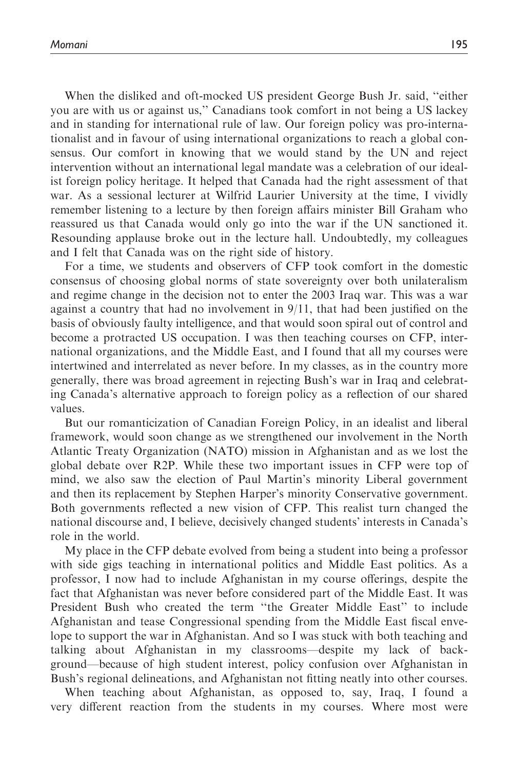When the disliked and oft-mocked US president George Bush Jr. said, ''either you are with us or against us,'' Canadians took comfort in not being a US lackey and in standing for international rule of law. Our foreign policy was pro-internationalist and in favour of using international organizations to reach a global consensus. Our comfort in knowing that we would stand by the UN and reject intervention without an international legal mandate was a celebration of our idealist foreign policy heritage. It helped that Canada had the right assessment of that war. As a sessional lecturer at Wilfrid Laurier University at the time, I vividly remember listening to a lecture by then foreign affairs minister Bill Graham who reassured us that Canada would only go into the war if the UN sanctioned it. Resounding applause broke out in the lecture hall. Undoubtedly, my colleagues and I felt that Canada was on the right side of history.

For a time, we students and observers of CFP took comfort in the domestic consensus of choosing global norms of state sovereignty over both unilateralism and regime change in the decision not to enter the 2003 Iraq war. This was a war against a country that had no involvement in 9/11, that had been justified on the basis of obviously faulty intelligence, and that would soon spiral out of control and become a protracted US occupation. I was then teaching courses on CFP, international organizations, and the Middle East, and I found that all my courses were intertwined and interrelated as never before. In my classes, as in the country more generally, there was broad agreement in rejecting Bush's war in Iraq and celebrating Canada's alternative approach to foreign policy as a reflection of our shared values.

But our romanticization of Canadian Foreign Policy, in an idealist and liberal framework, would soon change as we strengthened our involvement in the North Atlantic Treaty Organization (NATO) mission in Afghanistan and as we lost the global debate over R2P. While these two important issues in CFP were top of mind, we also saw the election of Paul Martin's minority Liberal government and then its replacement by Stephen Harper's minority Conservative government. Both governments reflected a new vision of CFP. This realist turn changed the national discourse and, I believe, decisively changed students' interests in Canada's role in the world.

My place in the CFP debate evolved from being a student into being a professor with side gigs teaching in international politics and Middle East politics. As a professor, I now had to include Afghanistan in my course offerings, despite the fact that Afghanistan was never before considered part of the Middle East. It was President Bush who created the term ''the Greater Middle East'' to include Afghanistan and tease Congressional spending from the Middle East fiscal envelope to support the war in Afghanistan. And so I was stuck with both teaching and talking about Afghanistan in my classrooms—despite my lack of background—because of high student interest, policy confusion over Afghanistan in Bush's regional delineations, and Afghanistan not fitting neatly into other courses.

When teaching about Afghanistan, as opposed to, say, Iraq, I found a very different reaction from the students in my courses. Where most were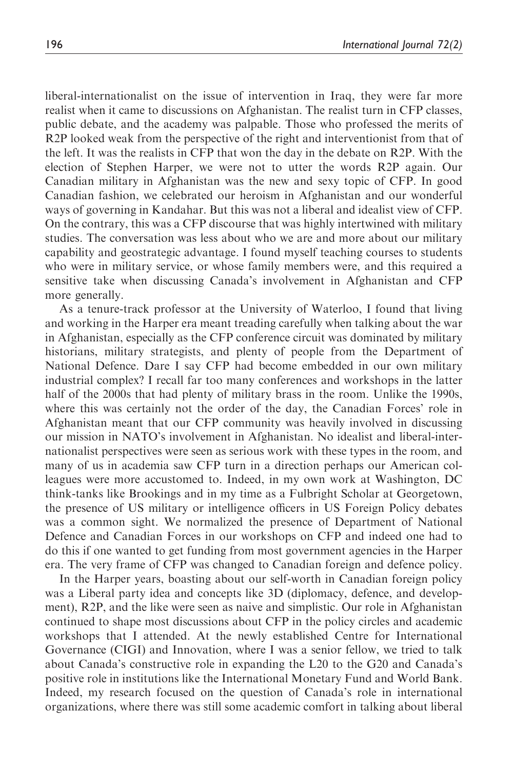liberal-internationalist on the issue of intervention in Iraq, they were far more realist when it came to discussions on Afghanistan. The realist turn in CFP classes, public debate, and the academy was palpable. Those who professed the merits of R2P looked weak from the perspective of the right and interventionist from that of the left. It was the realists in CFP that won the day in the debate on R2P. With the election of Stephen Harper, we were not to utter the words R2P again. Our Canadian military in Afghanistan was the new and sexy topic of CFP. In good Canadian fashion, we celebrated our heroism in Afghanistan and our wonderful ways of governing in Kandahar. But this was not a liberal and idealist view of CFP. On the contrary, this was a CFP discourse that was highly intertwined with military studies. The conversation was less about who we are and more about our military capability and geostrategic advantage. I found myself teaching courses to students who were in military service, or whose family members were, and this required a sensitive take when discussing Canada's involvement in Afghanistan and CFP more generally.

As a tenure-track professor at the University of Waterloo, I found that living and working in the Harper era meant treading carefully when talking about the war in Afghanistan, especially as the CFP conference circuit was dominated by military historians, military strategists, and plenty of people from the Department of National Defence. Dare I say CFP had become embedded in our own military industrial complex? I recall far too many conferences and workshops in the latter half of the 2000s that had plenty of military brass in the room. Unlike the 1990s, where this was certainly not the order of the day, the Canadian Forces' role in Afghanistan meant that our CFP community was heavily involved in discussing our mission in NATO's involvement in Afghanistan. No idealist and liberal-internationalist perspectives were seen as serious work with these types in the room, and many of us in academia saw CFP turn in a direction perhaps our American colleagues were more accustomed to. Indeed, in my own work at Washington, DC think-tanks like Brookings and in my time as a Fulbright Scholar at Georgetown, the presence of US military or intelligence officers in US Foreign Policy debates was a common sight. We normalized the presence of Department of National Defence and Canadian Forces in our workshops on CFP and indeed one had to do this if one wanted to get funding from most government agencies in the Harper era. The very frame of CFP was changed to Canadian foreign and defence policy.

In the Harper years, boasting about our self-worth in Canadian foreign policy was a Liberal party idea and concepts like 3D (diplomacy, defence, and development), R2P, and the like were seen as naive and simplistic. Our role in Afghanistan continued to shape most discussions about CFP in the policy circles and academic workshops that I attended. At the newly established Centre for International Governance (CIGI) and Innovation, where I was a senior fellow, we tried to talk about Canada's constructive role in expanding the L20 to the G20 and Canada's positive role in institutions like the International Monetary Fund and World Bank. Indeed, my research focused on the question of Canada's role in international organizations, where there was still some academic comfort in talking about liberal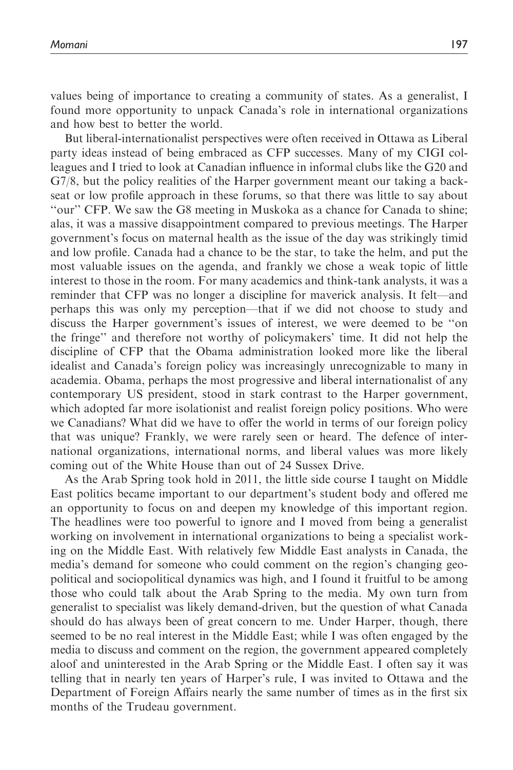values being of importance to creating a community of states. As a generalist, I found more opportunity to unpack Canada's role in international organizations and how best to better the world.

But liberal-internationalist perspectives were often received in Ottawa as Liberal party ideas instead of being embraced as CFP successes. Many of my CIGI colleagues and I tried to look at Canadian influence in informal clubs like the G20 and G7/8, but the policy realities of the Harper government meant our taking a backseat or low profile approach in these forums, so that there was little to say about ''our'' CFP. We saw the G8 meeting in Muskoka as a chance for Canada to shine; alas, it was a massive disappointment compared to previous meetings. The Harper government's focus on maternal health as the issue of the day was strikingly timid and low profile. Canada had a chance to be the star, to take the helm, and put the most valuable issues on the agenda, and frankly we chose a weak topic of little interest to those in the room. For many academics and think-tank analysts, it was a reminder that CFP was no longer a discipline for maverick analysis. It felt—and perhaps this was only my perception—that if we did not choose to study and discuss the Harper government's issues of interest, we were deemed to be ''on the fringe'' and therefore not worthy of policymakers' time. It did not help the discipline of CFP that the Obama administration looked more like the liberal idealist and Canada's foreign policy was increasingly unrecognizable to many in academia. Obama, perhaps the most progressive and liberal internationalist of any contemporary US president, stood in stark contrast to the Harper government, which adopted far more isolationist and realist foreign policy positions. Who were we Canadians? What did we have to offer the world in terms of our foreign policy that was unique? Frankly, we were rarely seen or heard. The defence of international organizations, international norms, and liberal values was more likely coming out of the White House than out of 24 Sussex Drive.

As the Arab Spring took hold in 2011, the little side course I taught on Middle East politics became important to our department's student body and offered me an opportunity to focus on and deepen my knowledge of this important region. The headlines were too powerful to ignore and I moved from being a generalist working on involvement in international organizations to being a specialist working on the Middle East. With relatively few Middle East analysts in Canada, the media's demand for someone who could comment on the region's changing geopolitical and sociopolitical dynamics was high, and I found it fruitful to be among those who could talk about the Arab Spring to the media. My own turn from generalist to specialist was likely demand-driven, but the question of what Canada should do has always been of great concern to me. Under Harper, though, there seemed to be no real interest in the Middle East; while I was often engaged by the media to discuss and comment on the region, the government appeared completely aloof and uninterested in the Arab Spring or the Middle East. I often say it was telling that in nearly ten years of Harper's rule, I was invited to Ottawa and the Department of Foreign Affairs nearly the same number of times as in the first six months of the Trudeau government.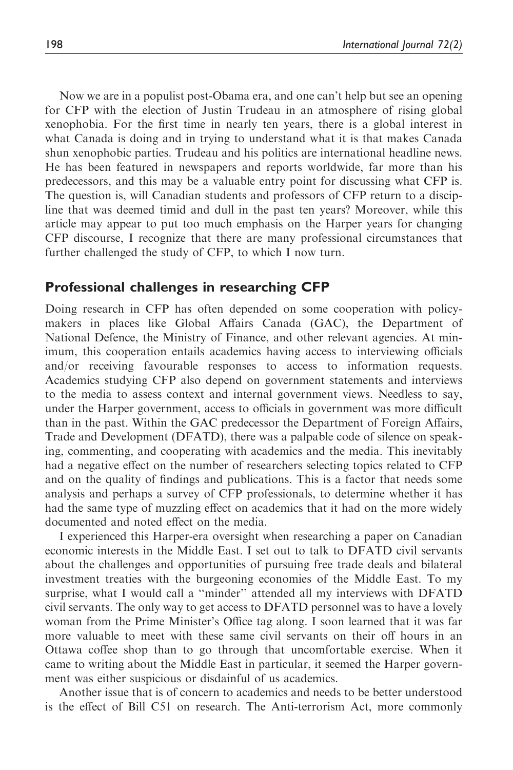Now we are in a populist post-Obama era, and one can't help but see an opening for CFP with the election of Justin Trudeau in an atmosphere of rising global xenophobia. For the first time in nearly ten years, there is a global interest in what Canada is doing and in trying to understand what it is that makes Canada shun xenophobic parties. Trudeau and his politics are international headline news. He has been featured in newspapers and reports worldwide, far more than his predecessors, and this may be a valuable entry point for discussing what CFP is. The question is, will Canadian students and professors of CFP return to a discipline that was deemed timid and dull in the past ten years? Moreover, while this article may appear to put too much emphasis on the Harper years for changing CFP discourse, I recognize that there are many professional circumstances that further challenged the study of CFP, to which I now turn.

#### Professional challenges in researching CFP

Doing research in CFP has often depended on some cooperation with policymakers in places like Global Affairs Canada (GAC), the Department of National Defence, the Ministry of Finance, and other relevant agencies. At minimum, this cooperation entails academics having access to interviewing officials and/or receiving favourable responses to access to information requests. Academics studying CFP also depend on government statements and interviews to the media to assess context and internal government views. Needless to say, under the Harper government, access to officials in government was more difficult than in the past. Within the GAC predecessor the Department of Foreign Affairs, Trade and Development (DFATD), there was a palpable code of silence on speaking, commenting, and cooperating with academics and the media. This inevitably had a negative effect on the number of researchers selecting topics related to CFP and on the quality of findings and publications. This is a factor that needs some analysis and perhaps a survey of CFP professionals, to determine whether it has had the same type of muzzling effect on academics that it had on the more widely documented and noted effect on the media.

I experienced this Harper-era oversight when researching a paper on Canadian economic interests in the Middle East. I set out to talk to DFATD civil servants about the challenges and opportunities of pursuing free trade deals and bilateral investment treaties with the burgeoning economies of the Middle East. To my surprise, what I would call a ''minder'' attended all my interviews with DFATD civil servants. The only way to get access to DFATD personnel was to have a lovely woman from the Prime Minister's Office tag along. I soon learned that it was far more valuable to meet with these same civil servants on their off hours in an Ottawa coffee shop than to go through that uncomfortable exercise. When it came to writing about the Middle East in particular, it seemed the Harper government was either suspicious or disdainful of us academics.

Another issue that is of concern to academics and needs to be better understood is the effect of Bill C51 on research. The Anti-terrorism Act, more commonly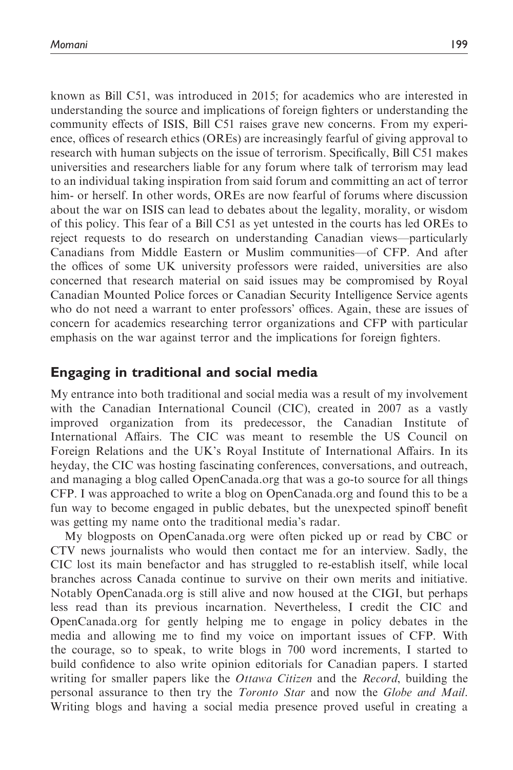known as Bill C51, was introduced in 2015; for academics who are interested in understanding the source and implications of foreign fighters or understanding the community effects of ISIS, Bill C51 raises grave new concerns. From my experience, offices of research ethics (OREs) are increasingly fearful of giving approval to research with human subjects on the issue of terrorism. Specifically, Bill C51 makes universities and researchers liable for any forum where talk of terrorism may lead to an individual taking inspiration from said forum and committing an act of terror him- or herself. In other words, OREs are now fearful of forums where discussion about the war on ISIS can lead to debates about the legality, morality, or wisdom of this policy. This fear of a Bill C51 as yet untested in the courts has led OREs to reject requests to do research on understanding Canadian views—particularly Canadians from Middle Eastern or Muslim communities—of CFP. And after the offices of some UK university professors were raided, universities are also concerned that research material on said issues may be compromised by Royal Canadian Mounted Police forces or Canadian Security Intelligence Service agents who do not need a warrant to enter professors' offices. Again, these are issues of concern for academics researching terror organizations and CFP with particular emphasis on the war against terror and the implications for foreign fighters.

#### Engaging in traditional and social media

My entrance into both traditional and social media was a result of my involvement with the Canadian International Council (CIC), created in 2007 as a vastly improved organization from its predecessor, the Canadian Institute of International Affairs. The CIC was meant to resemble the US Council on Foreign Relations and the UK's Royal Institute of International Affairs. In its heyday, the CIC was hosting fascinating conferences, conversations, and outreach, and managing a blog called OpenCanada.org that was a go-to source for all things CFP. I was approached to write a blog on OpenCanada.org and found this to be a fun way to become engaged in public debates, but the unexpected spinoff benefit was getting my name onto the traditional media's radar.

My blogposts on OpenCanada.org were often picked up or read by CBC or CTV news journalists who would then contact me for an interview. Sadly, the CIC lost its main benefactor and has struggled to re-establish itself, while local branches across Canada continue to survive on their own merits and initiative. Notably OpenCanada.org is still alive and now housed at the CIGI, but perhaps less read than its previous incarnation. Nevertheless, I credit the CIC and OpenCanada.org for gently helping me to engage in policy debates in the media and allowing me to find my voice on important issues of CFP. With the courage, so to speak, to write blogs in 700 word increments, I started to build confidence to also write opinion editorials for Canadian papers. I started writing for smaller papers like the *Ottawa Citizen* and the *Record*, building the personal assurance to then try the *Toronto Star* and now the *Globe and Mail*. Writing blogs and having a social media presence proved useful in creating a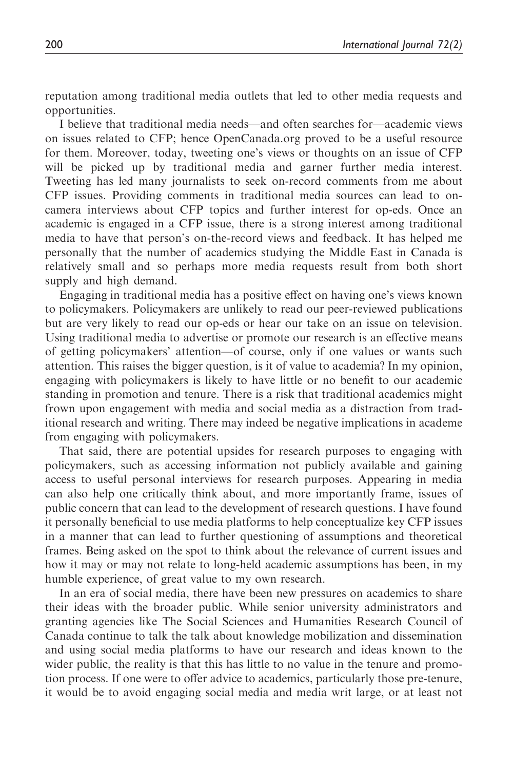reputation among traditional media outlets that led to other media requests and opportunities.

I believe that traditional media needs—and often searches for—academic views on issues related to CFP; hence OpenCanada.org proved to be a useful resource for them. Moreover, today, tweeting one's views or thoughts on an issue of CFP will be picked up by traditional media and garner further media interest. Tweeting has led many journalists to seek on-record comments from me about CFP issues. Providing comments in traditional media sources can lead to oncamera interviews about CFP topics and further interest for op-eds. Once an academic is engaged in a CFP issue, there is a strong interest among traditional media to have that person's on-the-record views and feedback. It has helped me personally that the number of academics studying the Middle East in Canada is relatively small and so perhaps more media requests result from both short supply and high demand.

Engaging in traditional media has a positive effect on having one's views known to policymakers. Policymakers are unlikely to read our peer-reviewed publications but are very likely to read our op-eds or hear our take on an issue on television. Using traditional media to advertise or promote our research is an effective means of getting policymakers' attention—of course, only if one values or wants such attention. This raises the bigger question, is it of value to academia? In my opinion, engaging with policymakers is likely to have little or no benefit to our academic standing in promotion and tenure. There is a risk that traditional academics might frown upon engagement with media and social media as a distraction from traditional research and writing. There may indeed be negative implications in academe from engaging with policymakers.

That said, there are potential upsides for research purposes to engaging with policymakers, such as accessing information not publicly available and gaining access to useful personal interviews for research purposes. Appearing in media can also help one critically think about, and more importantly frame, issues of public concern that can lead to the development of research questions. I have found it personally beneficial to use media platforms to help conceptualize key CFP issues in a manner that can lead to further questioning of assumptions and theoretical frames. Being asked on the spot to think about the relevance of current issues and how it may or may not relate to long-held academic assumptions has been, in my humble experience, of great value to my own research.

In an era of social media, there have been new pressures on academics to share their ideas with the broader public. While senior university administrators and granting agencies like The Social Sciences and Humanities Research Council of Canada continue to talk the talk about knowledge mobilization and dissemination and using social media platforms to have our research and ideas known to the wider public, the reality is that this has little to no value in the tenure and promotion process. If one were to offer advice to academics, particularly those pre-tenure, it would be to avoid engaging social media and media writ large, or at least not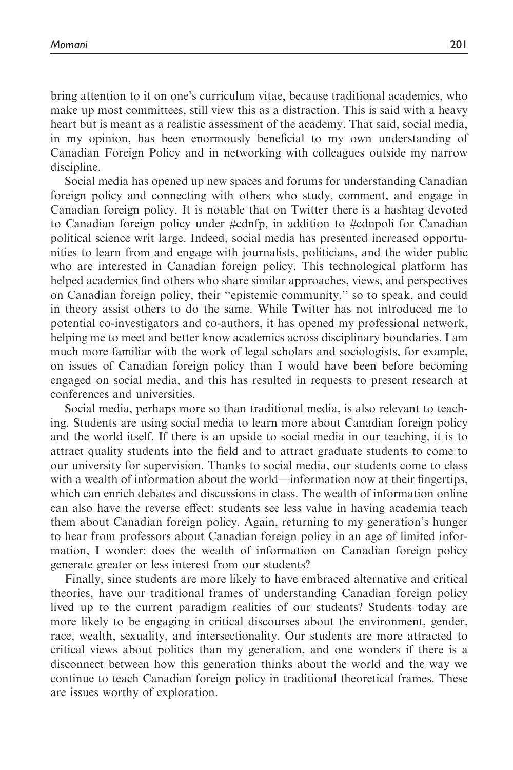bring attention to it on one's curriculum vitae, because traditional academics, who make up most committees, still view this as a distraction. This is said with a heavy heart but is meant as a realistic assessment of the academy. That said, social media, in my opinion, has been enormously beneficial to my own understanding of Canadian Foreign Policy and in networking with colleagues outside my narrow discipline.

Social media has opened up new spaces and forums for understanding Canadian foreign policy and connecting with others who study, comment, and engage in Canadian foreign policy. It is notable that on Twitter there is a hashtag devoted to Canadian foreign policy under #cdnfp, in addition to #cdnpoli for Canadian political science writ large. Indeed, social media has presented increased opportunities to learn from and engage with journalists, politicians, and the wider public who are interested in Canadian foreign policy. This technological platform has helped academics find others who share similar approaches, views, and perspectives on Canadian foreign policy, their ''epistemic community,'' so to speak, and could in theory assist others to do the same. While Twitter has not introduced me to potential co-investigators and co-authors, it has opened my professional network, helping me to meet and better know academics across disciplinary boundaries. I am much more familiar with the work of legal scholars and sociologists, for example, on issues of Canadian foreign policy than I would have been before becoming engaged on social media, and this has resulted in requests to present research at conferences and universities.

Social media, perhaps more so than traditional media, is also relevant to teaching. Students are using social media to learn more about Canadian foreign policy and the world itself. If there is an upside to social media in our teaching, it is to attract quality students into the field and to attract graduate students to come to our university for supervision. Thanks to social media, our students come to class with a wealth of information about the world—information now at their fingertips, which can enrich debates and discussions in class. The wealth of information online can also have the reverse effect: students see less value in having academia teach them about Canadian foreign policy. Again, returning to my generation's hunger to hear from professors about Canadian foreign policy in an age of limited information, I wonder: does the wealth of information on Canadian foreign policy generate greater or less interest from our students?

Finally, since students are more likely to have embraced alternative and critical theories, have our traditional frames of understanding Canadian foreign policy lived up to the current paradigm realities of our students? Students today are more likely to be engaging in critical discourses about the environment, gender, race, wealth, sexuality, and intersectionality. Our students are more attracted to critical views about politics than my generation, and one wonders if there is a disconnect between how this generation thinks about the world and the way we continue to teach Canadian foreign policy in traditional theoretical frames. These are issues worthy of exploration.